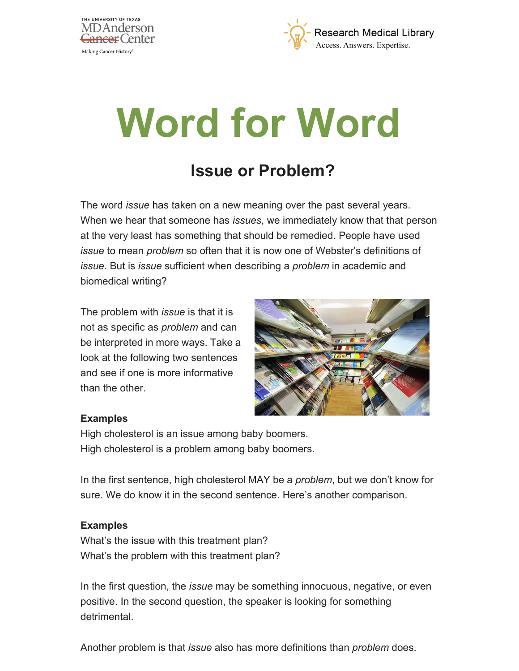



# **Word for Word**

# **Issue or Problem?**

The word *issue* has taken on a new meaning over the past several years. When we hear that someone has *issues*, we immediately know that that person at the very least has something that should be remedied. People have used *issue* to mean *problem* so often that it is now one of Webster's definitions of *issue*. But is *issue* sufficient when describing a *problem* in academic and biomedical writing?

The problem with *issue* is that it is not as specific as *problem* and can be interpreted in more ways. Take a look at the following two sentences and see if one is more informative than the other.



#### **Examples**

High cholesterol is an issue among baby boomers. High cholesterol is a problem among baby boomers.

In the first sentence, high cholesterol MAY be a *problem*, but we don't know for sure. We do know it in the second sentence. Here's another comparison.

#### **Examples**

What's the issue with this treatment plan? What's the problem with this treatment plan?

In the first question, the *issue* may be something innocuous, negative, or even positive. In the second question, the speaker is looking for something detrimental.

Another problem is that *issue* also has more definitions than *problem* does.